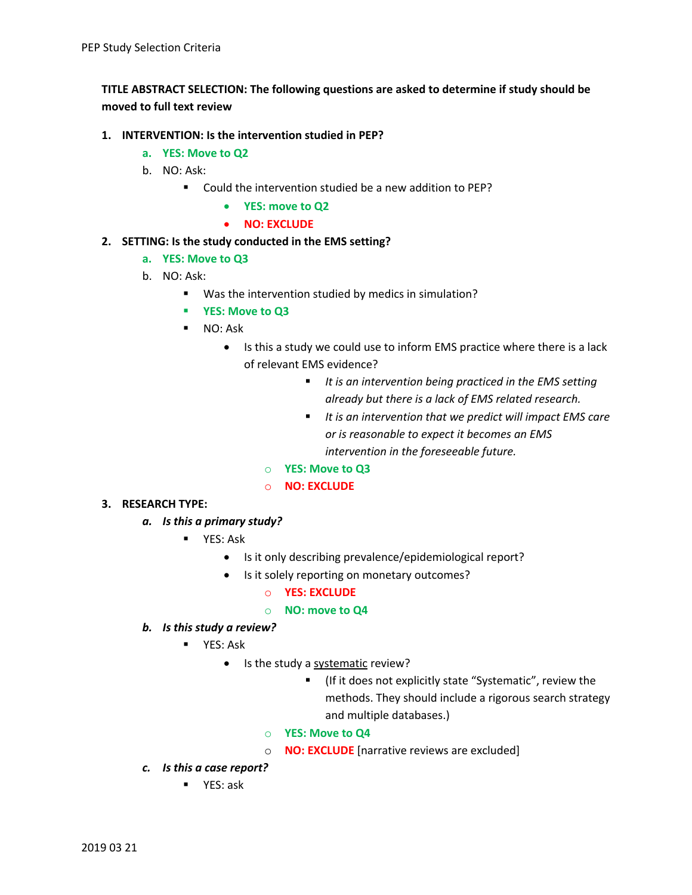# **TITLE ABSTRACT SELECTION: The following questions are asked to determine if study should be moved to full text review**

## **1. INTERVENTION: Is the intervention studied in PEP?**

- **a. YES: Move to Q2**
- b. NO: Ask:
	- Could the intervention studied be a new addition to PEP?
		- **YES: move to Q2**
		- **NO: EXCLUDE**

## **2. SETTING: Is the study conducted in the EMS setting?**

- **a. YES: Move to Q3**
- b. NO: Ask:
	- Was the intervention studied by medics in simulation?
	- § **YES: Move to Q3**
	- NO: Ask
		- Is this a study we could use to inform EMS practice where there is a lack of relevant EMS evidence?
			- *It is an intervention being practiced in the EMS setting already but there is a lack of EMS related research.*
			- § *It is an intervention that we predict will impact EMS care or is reasonable to expect it becomes an EMS intervention in the foreseeable future.*
			- o **YES: Move to Q3**
			- o **NO: EXCLUDE**
- **3. RESEARCH TYPE:** 
	- *a. Is this a primary study?* 
		- YES: Ask
			- Is it only describing prevalence/epidemiological report?
			- Is it solely reporting on monetary outcomes?
				- o **YES: EXCLUDE**
				- o **NO: move to Q4**
	- *b. Is this study a review?* 
		- YES: Ask
			- Is the study a systematic review?
				- (If it does not explicitly state "Systematic", review the methods. They should include a rigorous search strategy and multiple databases.)
				- o **YES: Move to Q4**
				- o **NO: EXCLUDE** [narrative reviews are excluded]
	- *c. Is this a case report?*
		- YES: ask